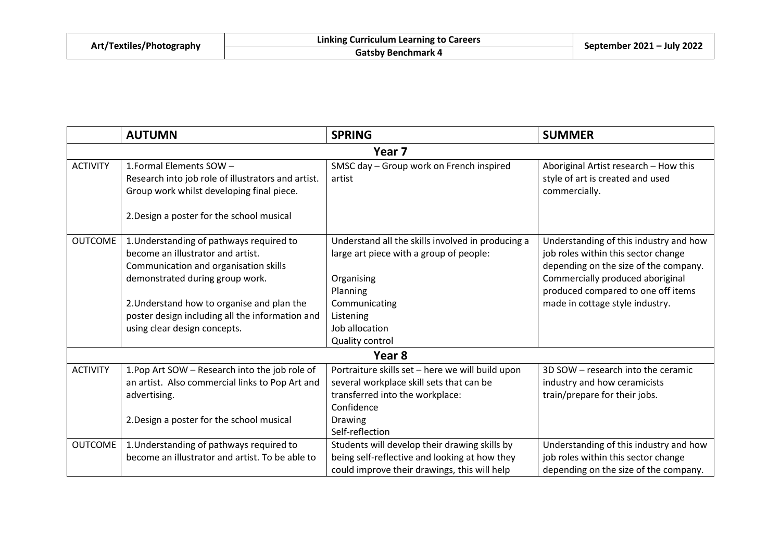| Art/Textiles/Photography | Linking Curriculum Learning to Careers | September 2021 - July 2022 |
|--------------------------|----------------------------------------|----------------------------|
|                          | Gatsby Benchmark 4                     |                            |

|                   | <b>AUTUMN</b>                                      | <b>SPRING</b>                                     | <b>SUMMER</b>                          |  |
|-------------------|----------------------------------------------------|---------------------------------------------------|----------------------------------------|--|
| Year <sub>7</sub> |                                                    |                                                   |                                        |  |
| <b>ACTIVITY</b>   | 1. Formal Elements SOW -                           | SMSC day - Group work on French inspired          | Aboriginal Artist research - How this  |  |
|                   | Research into job role of illustrators and artist. | artist                                            | style of art is created and used       |  |
|                   | Group work whilst developing final piece.          |                                                   | commercially.                          |  |
|                   | 2. Design a poster for the school musical          |                                                   |                                        |  |
| <b>OUTCOME</b>    | 1. Understanding of pathways required to           | Understand all the skills involved in producing a | Understanding of this industry and how |  |
|                   | become an illustrator and artist.                  | large art piece with a group of people:           | job roles within this sector change    |  |
|                   | Communication and organisation skills              |                                                   | depending on the size of the company.  |  |
|                   | demonstrated during group work.                    | Organising                                        | Commercially produced aboriginal       |  |
|                   |                                                    | Planning                                          | produced compared to one off items     |  |
|                   | 2. Understand how to organise and plan the         | Communicating                                     | made in cottage style industry.        |  |
|                   | poster design including all the information and    | Listening                                         |                                        |  |
|                   | using clear design concepts.                       | Job allocation                                    |                                        |  |
|                   |                                                    | Quality control                                   |                                        |  |
| Year 8            |                                                    |                                                   |                                        |  |
| <b>ACTIVITY</b>   | 1. Pop Art SOW - Research into the job role of     | Portraiture skills set - here we will build upon  | 3D SOW - research into the ceramic     |  |
|                   | an artist. Also commercial links to Pop Art and    | several workplace skill sets that can be          | industry and how ceramicists           |  |
|                   | advertising.                                       | transferred into the workplace:                   | train/prepare for their jobs.          |  |
|                   |                                                    | Confidence                                        |                                        |  |
|                   | 2. Design a poster for the school musical          | Drawing                                           |                                        |  |
|                   |                                                    | Self-reflection                                   |                                        |  |
| <b>OUTCOME</b>    | 1. Understanding of pathways required to           | Students will develop their drawing skills by     | Understanding of this industry and how |  |
|                   | become an illustrator and artist. To be able to    | being self-reflective and looking at how they     | job roles within this sector change    |  |
|                   |                                                    | could improve their drawings, this will help      | depending on the size of the company.  |  |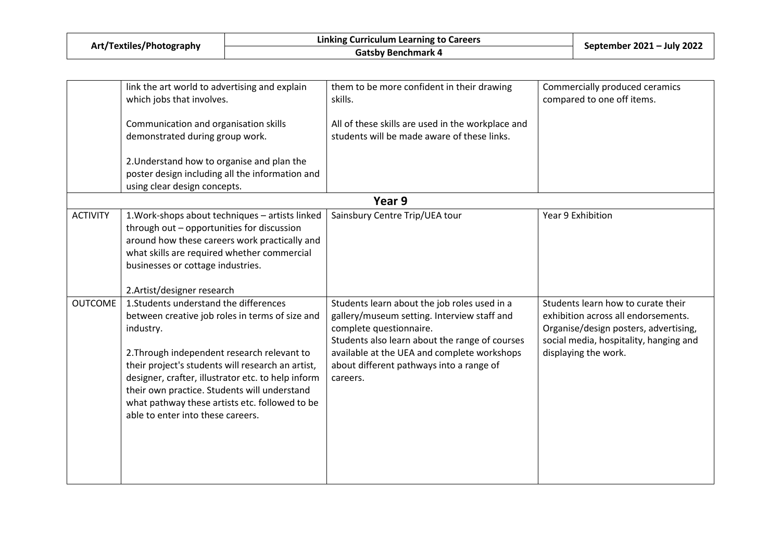| Art/Textiles/Photography | Linking Curriculum Learning to Careers | September 2021 - July 2022 |  |
|--------------------------|----------------------------------------|----------------------------|--|
|                          | Gatsby Benchmark 4                     |                            |  |

|                 | link the art world to advertising and explain<br>which jobs that involves.                                                                                                                                                                                                                                                                                                                              | them to be more confident in their drawing<br>skills.                                                                                                                                                                                                                           | Commercially produced ceramics<br>compared to one off items.                                                                                                                         |
|-----------------|---------------------------------------------------------------------------------------------------------------------------------------------------------------------------------------------------------------------------------------------------------------------------------------------------------------------------------------------------------------------------------------------------------|---------------------------------------------------------------------------------------------------------------------------------------------------------------------------------------------------------------------------------------------------------------------------------|--------------------------------------------------------------------------------------------------------------------------------------------------------------------------------------|
|                 | Communication and organisation skills<br>demonstrated during group work.                                                                                                                                                                                                                                                                                                                                | All of these skills are used in the workplace and<br>students will be made aware of these links.                                                                                                                                                                                |                                                                                                                                                                                      |
|                 | 2. Understand how to organise and plan the<br>poster design including all the information and<br>using clear design concepts.                                                                                                                                                                                                                                                                           |                                                                                                                                                                                                                                                                                 |                                                                                                                                                                                      |
|                 |                                                                                                                                                                                                                                                                                                                                                                                                         | Year 9                                                                                                                                                                                                                                                                          |                                                                                                                                                                                      |
| <b>ACTIVITY</b> | 1. Work-shops about techniques - artists linked<br>through out - opportunities for discussion<br>around how these careers work practically and<br>what skills are required whether commercial<br>businesses or cottage industries.                                                                                                                                                                      | Sainsbury Centre Trip/UEA tour                                                                                                                                                                                                                                                  | Year 9 Exhibition                                                                                                                                                                    |
|                 | 2.Artist/designer research                                                                                                                                                                                                                                                                                                                                                                              |                                                                                                                                                                                                                                                                                 |                                                                                                                                                                                      |
| <b>OUTCOME</b>  | 1. Students understand the differences<br>between creative job roles in terms of size and<br>industry.<br>2. Through independent research relevant to<br>their project's students will research an artist,<br>designer, crafter, illustrator etc. to help inform<br>their own practice. Students will understand<br>what pathway these artists etc. followed to be<br>able to enter into these careers. | Students learn about the job roles used in a<br>gallery/museum setting. Interview staff and<br>complete questionnaire.<br>Students also learn about the range of courses<br>available at the UEA and complete workshops<br>about different pathways into a range of<br>careers. | Students learn how to curate their<br>exhibition across all endorsements.<br>Organise/design posters, advertising,<br>social media, hospitality, hanging and<br>displaying the work. |
|                 |                                                                                                                                                                                                                                                                                                                                                                                                         |                                                                                                                                                                                                                                                                                 |                                                                                                                                                                                      |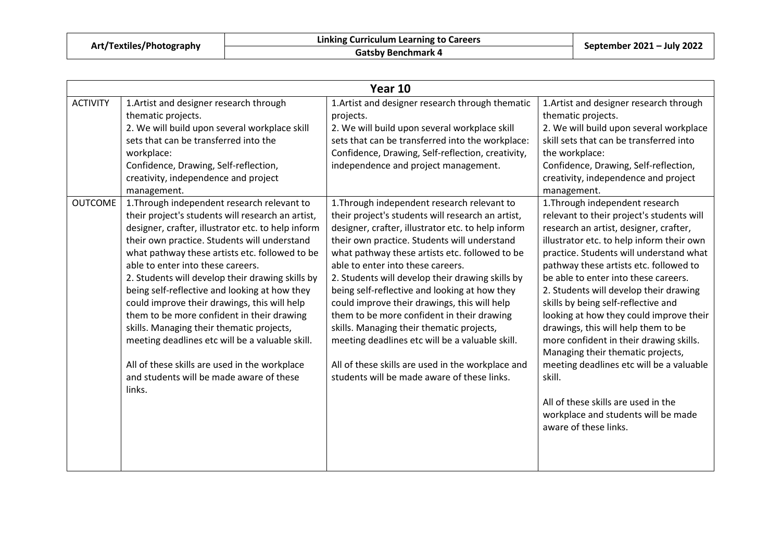| Art/Textiles/Photography |  |
|--------------------------|--|
|                          |  |

|                 | Year 10                                                                                                                                                                                                                                                                                                                                                                                                                                                                                                                                                                                                                                                                                                 |                                                                                                                                                                                                                                                                                                                                                                                                                                                                                                                                                                                                                                                                                                      |                                                                                                                                                                                                                                                                                                                                                                                                                                                                                                                                                                                                                                                                                                                  |  |
|-----------------|---------------------------------------------------------------------------------------------------------------------------------------------------------------------------------------------------------------------------------------------------------------------------------------------------------------------------------------------------------------------------------------------------------------------------------------------------------------------------------------------------------------------------------------------------------------------------------------------------------------------------------------------------------------------------------------------------------|------------------------------------------------------------------------------------------------------------------------------------------------------------------------------------------------------------------------------------------------------------------------------------------------------------------------------------------------------------------------------------------------------------------------------------------------------------------------------------------------------------------------------------------------------------------------------------------------------------------------------------------------------------------------------------------------------|------------------------------------------------------------------------------------------------------------------------------------------------------------------------------------------------------------------------------------------------------------------------------------------------------------------------------------------------------------------------------------------------------------------------------------------------------------------------------------------------------------------------------------------------------------------------------------------------------------------------------------------------------------------------------------------------------------------|--|
| <b>ACTIVITY</b> | 1. Artist and designer research through<br>thematic projects.<br>2. We will build upon several workplace skill<br>sets that can be transferred into the<br>workplace:<br>Confidence, Drawing, Self-reflection,<br>creativity, independence and project<br>management.                                                                                                                                                                                                                                                                                                                                                                                                                                   | 1. Artist and designer research through thematic<br>projects.<br>2. We will build upon several workplace skill<br>sets that can be transferred into the workplace:<br>Confidence, Drawing, Self-reflection, creativity,<br>independence and project management.                                                                                                                                                                                                                                                                                                                                                                                                                                      | 1. Artist and designer research through<br>thematic projects.<br>2. We will build upon several workplace<br>skill sets that can be transferred into<br>the workplace:<br>Confidence, Drawing, Self-reflection,<br>creativity, independence and project<br>management.                                                                                                                                                                                                                                                                                                                                                                                                                                            |  |
| <b>OUTCOME</b>  | 1. Through independent research relevant to<br>their project's students will research an artist,<br>designer, crafter, illustrator etc. to help inform<br>their own practice. Students will understand<br>what pathway these artists etc. followed to be<br>able to enter into these careers.<br>2. Students will develop their drawing skills by<br>being self-reflective and looking at how they<br>could improve their drawings, this will help<br>them to be more confident in their drawing<br>skills. Managing their thematic projects,<br>meeting deadlines etc will be a valuable skill.<br>All of these skills are used in the workplace<br>and students will be made aware of these<br>links. | 1. Through independent research relevant to<br>their project's students will research an artist,<br>designer, crafter, illustrator etc. to help inform<br>their own practice. Students will understand<br>what pathway these artists etc. followed to be<br>able to enter into these careers.<br>2. Students will develop their drawing skills by<br>being self-reflective and looking at how they<br>could improve their drawings, this will help<br>them to be more confident in their drawing<br>skills. Managing their thematic projects,<br>meeting deadlines etc will be a valuable skill.<br>All of these skills are used in the workplace and<br>students will be made aware of these links. | 1. Through independent research<br>relevant to their project's students will<br>research an artist, designer, crafter,<br>illustrator etc. to help inform their own<br>practice. Students will understand what<br>pathway these artists etc. followed to<br>be able to enter into these careers.<br>2. Students will develop their drawing<br>skills by being self-reflective and<br>looking at how they could improve their<br>drawings, this will help them to be<br>more confident in their drawing skills.<br>Managing their thematic projects,<br>meeting deadlines etc will be a valuable<br>skill.<br>All of these skills are used in the<br>workplace and students will be made<br>aware of these links. |  |